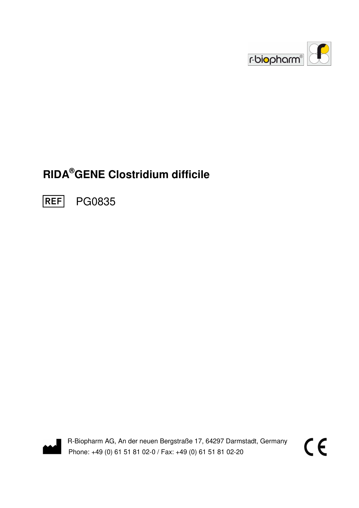

# **RIDA®GENE Clostridium difficile**

**REF** PG0835



R-Biopharm AG, An der neuen Bergstraße 17, 64297 Darmstadt, Germany Phone: +49 (0) 61 51 81 02-0 / Fax: +49 (0) 61 51 81 02-20

 $\epsilon$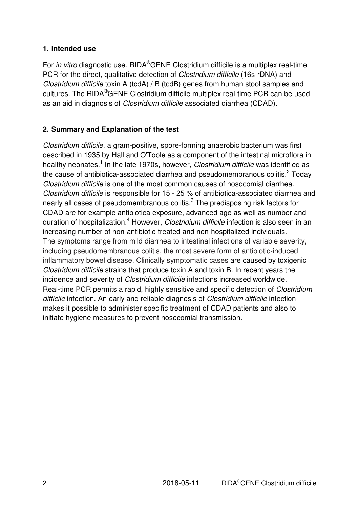#### **1. Intended use**

For in vitro diagnostic use. RIDA<sup>®</sup>GENE Clostridium difficile is a multiplex real-time PCR for the direct, qualitative detection of *Clostridium difficile* (16s-rDNA) and Clostridium difficile toxin A (tcdA) / B (tcdB) genes from human stool samples and cultures. The RIDA®GENE Clostridium difficile multiplex real-time PCR can be used as an aid in diagnosis of Clostridium difficile associated diarrhea (CDAD).

#### **2. Summary and Explanation of the test**

Clostridium difficile, a gram-positive, spore-forming anaerobic bacterium was first described in 1935 by Hall and O'Toole as a component of the intestinal microflora in healthy neonates.<sup>1</sup> In the late 1970s, however, *Clostridium difficile* was identified as the cause of antibiotica-associated diarrhea and pseudomembranous colitis. $^2$  Today Clostridium difficile is one of the most common causes of nosocomial diarrhea. Clostridium difficile is responsible for 15 - 25 % of antibiotica-associated diarrhea and nearly all cases of pseudomembranous colitis.<sup>3</sup> The predisposing risk factors for CDAD are for example antibiotica exposure, advanced age as well as number and duration of hospitalization.<sup>4</sup> However, *Clostridium difficile* infection is also seen in an increasing number of non-antibiotic-treated and non-hospitalized individuals. The symptoms range from mild diarrhea to intestinal infections of variable severity, including pseudomembranous colitis, the most severe form of antibiotic-induced inflammatory bowel disease. Clinically symptomatic cases are caused by toxigenic Clostridium difficile strains that produce toxin A and toxin B. In recent years the incidence and severity of Clostridium difficile infections increased worldwide. Real-time PCR permits a rapid, highly sensitive and specific detection of Clostridium difficile infection. An early and reliable diagnosis of *Clostridium difficile* infection makes it possible to administer specific treatment of CDAD patients and also to initiate hygiene measures to prevent nosocomial transmission.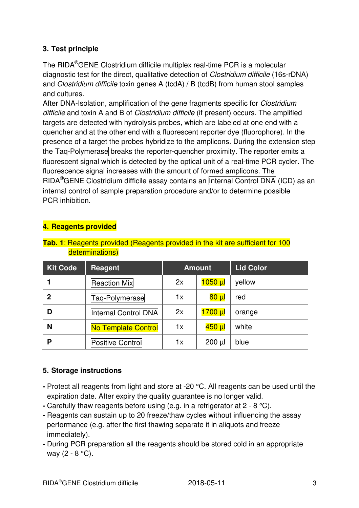## **3. Test principle**

The RIDA®GENE Clostridium difficile multiplex real-time PCR is a molecular diagnostic test for the direct, qualitative detection of Clostridium difficile (16s-rDNA) and Clostridium difficile toxin genes A (tcdA) / B (tcdB) from human stool samples and cultures.

After DNA-Isolation, amplification of the gene fragments specific for *Clostridium* difficile and toxin A and B of Clostridium difficile (if present) occurs. The amplified targets are detected with hydrolysis probes, which are labeled at one end with a quencher and at the other end with a fluorescent reporter dye (fluorophore). In the presence of a target the probes hybridize to the amplicons. During the extension step the Taq-Polymerase breaks the reporter-quencher proximity. The reporter emits a fluorescent signal which is detected by the optical unit of a real-time PCR cycler. The fluorescence signal increases with the amount of formed amplicons. The RIDA<sup>®</sup>GENE Clostridium difficile assay contains an Internal Control DNA (ICD) as an internal control of sample preparation procedure and/or to determine possible PCR inhibition.

#### **4. Reagents provided**

#### **Tab. 1**: Reagents provided (Reagents provided in the kit are sufficient for 100 determinations)

| <b>Kit Code</b> | Reagent              | <b>Amount</b> |                     | <b>Lid Color</b> |
|-----------------|----------------------|---------------|---------------------|------------------|
|                 | <b>Reaction Mix</b>  | 2x            | $1050$ $\mu$        | yellow           |
| $\mathbf 2$     | Taq-Polymerase       | 1x            | $80 \mu$            | red              |
| D               | Internal Control DNA | 2x            | $1700$ $\mu$        | orange           |
| N               | No Template Control  | 1x            | <mark>450 µl</mark> | white            |
| P               | Positive Control     | 1x            | $200 \mu$           | blue             |

#### **5. Storage instructions**

- Protect all reagents from light and store at -20 °C. All reagents can be used until the expiration date. After expiry the quality guarantee is no longer valid.
- Carefully thaw reagents before using (e.g. in a refrigerator at 2 8 °C).
- Reagents can sustain up to 20 freeze/thaw cycles without influencing the assay performance (e.g. after the first thawing separate it in aliquots and freeze immediately).
- During PCR preparation all the reagents should be stored cold in an appropriate way (2 - 8 °C).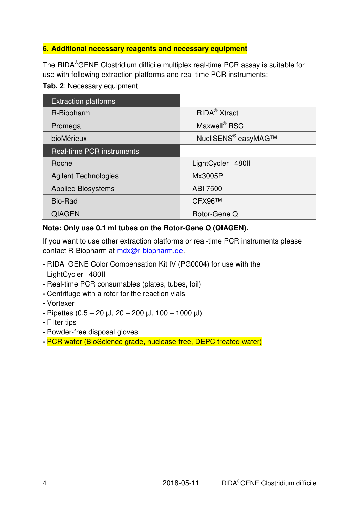#### **6. Additional necessary reagents and necessary equipment**

The RIDA®GENE Clostridium difficile multiplex real-time PCR assay is suitable for use with following extraction platforms and real-time PCR instruments:

#### **Tab. 2**: Necessary equipment

| <b>Extraction platforms</b>      |                                 |
|----------------------------------|---------------------------------|
| R-Biopharm                       | RIDA <sup>®</sup> Xtract        |
| Promega                          | Maxwell <sup>®</sup> RSC        |
| bioMérieux                       | NucliSENS <sup>®</sup> easyMAG™ |
| <b>Real-time PCR instruments</b> |                                 |
| Roche                            | LightCycler <sup>®</sup> 480II  |
| <b>Agilent Technologies</b>      | Mx3005P                         |
| <b>Applied Biosystems</b>        | ABI 7500                        |
| <b>Bio-Rad</b>                   | CFX96™                          |
| <b>QIAGEN</b>                    | Rotor-Gene Q                    |

#### **Note: Only use 0.1 ml tubes on the Rotor-Gene Q (QIAGEN).**

If you want to use other extraction platforms or real-time PCR instruments please contact R-Biopharm at mdx@r-biopharm.de.

- **RIDA<sup>®</sup>GENE Color Compensation Kit IV (PG0004) for use with the** LightCycler<sup>®</sup> 480II
- Real-time PCR consumables (plates, tubes, foil)
- Centrifuge with a rotor for the reaction vials
- Vortexer
- Pipettes (0.5 20 µl, 20 200 µl, 100 1000 µl)
- Filter tips
- Powder-free disposal gloves
- PCR water (BioScience grade, nuclease-free, DEPC treated water)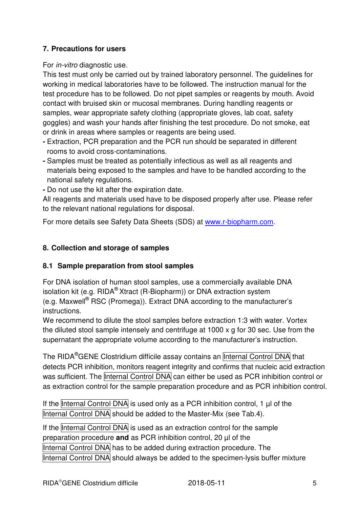#### **7. Precautions for users**

For in-vitro diagnostic use.

This test must only be carried out by trained laboratory personnel. The guidelines for working in medical laboratories have to be followed. The instruction manual for the test procedure has to be followed. Do not pipet samples or reagents by mouth. Avoid contact with bruised skin or mucosal membranes. During handling reagents or samples, wear appropriate safety clothing (appropriate gloves, lab coat, safety goggles) and wash your hands after finishing the test procedure. Do not smoke, eat or drink in areas where samples or reagents are being used.

- Extraction, PCR preparation and the PCR run should be separated in different rooms to avoid cross-contaminations.
- Samples must be treated as potentially infectious as well as all reagents and materials being exposed to the samples and have to be handled according to the national safety regulations.

**-** Do not use the kit after the expiration date.

All reagents and materials used have to be disposed properly after use. Please refer to the relevant national regulations for disposal.

For more details see Safety Data Sheets (SDS) at www.r-biopharm.com.

#### **8. Collection and storage of samples**

#### **8.1 Sample preparation from stool samples**

For DNA isolation of human stool samples, use a commercially available DNA isolation kit (e.g. RIDA® Xtract (R-Biopharm)) or DNA extraction system (e.g. Maxwell<sup>®</sup> RSC (Promega)). Extract DNA according to the manufacturer's instructions.

We recommend to dilute the stool samples before extraction 1:3 with water. Vortex the diluted stool sample intensely and centrifuge at 1000 x g for 30 sec. Use from the supernatant the appropriate volume according to the manufacturer's instruction.

The RIDA<sup>®</sup>GENE Clostridium difficile assay contains an Internal Control DNA that detects PCR inhibition, monitors reagent integrity and confirms that nucleic acid extraction was sufficient. The Internal Control DNA can either be used as PCR inhibition control or as extraction control for the sample preparation procedure and as PCR inhibition control.

If the Internal Control DNA is used only as a PCR inhibition control, 1  $\mu$  of the Internal Control DNA should be added to the Master-Mix (see Tab.4).

If the Internal Control DNA is used as an extraction control for the sample preparation procedure **and** as PCR inhibition control, 20 µl of the Internal Control DNA has to be added during extraction procedure. The Internal Control DNA should always be added to the specimen-lysis buffer mixture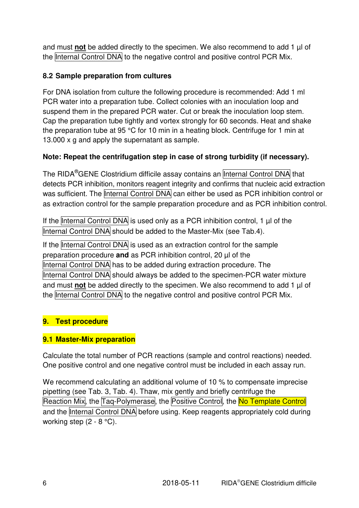and must **not** be added directly to the specimen. We also recommend to add 1 µl of the Internal Control DNA to the negative control and positive control PCR Mix.

# **8.2 Sample preparation from cultures**

For DNA isolation from culture the following procedure is recommended: Add 1 ml PCR water into a preparation tube. Collect colonies with an inoculation loop and suspend them in the prepared PCR water. Cut or break the inoculation loop stem. Cap the preparation tube tightly and vortex strongly for 60 seconds. Heat and shake the preparation tube at 95 °C for 10 min in a heating block. Centrifuge for 1 min at 13.000 x g and apply the supernatant as sample.

# **Note: Repeat the centrifugation step in case of strong turbidity (if necessary).**

The RIDA<sup>®</sup>GENE Clostridium difficile assay contains an Internal Control DNA that detects PCR inhibition, monitors reagent integrity and confirms that nucleic acid extraction was sufficient. The Internal Control DNA can either be used as PCR inhibition control or as extraction control for the sample preparation procedure and as PCR inhibition control.

If the Internal Control DNA is used only as a PCR inhibition control, 1 µl of the Internal Control DNA should be added to the Master-Mix (see Tab.4).

If the Internal Control DNA is used as an extraction control for the sample preparation procedure **and** as PCR inhibition control, 20 µl of the Internal Control DNA has to be added during extraction procedure. The Internal Control DNA should always be added to the specimen-PCR water mixture and must **not** be added directly to the specimen. We also recommend to add 1 µl of the Internal Control DNA to the negative control and positive control PCR Mix.

# **9. Test procedure**

#### **9.1 Master-Mix preparation**

Calculate the total number of PCR reactions (sample and control reactions) needed. One positive control and one negative control must be included in each assay run.

We recommend calculating an additional volume of 10 % to compensate imprecise pipetting (see Tab. 3, Tab. 4). Thaw, mix gently and briefly centrifuge the Reaction Mix, the Taq-Polymerase, the Positive Control, the No Template Control and the Internal Control DNA before using. Keep reagents appropriately cold during working step (2 - 8 °C).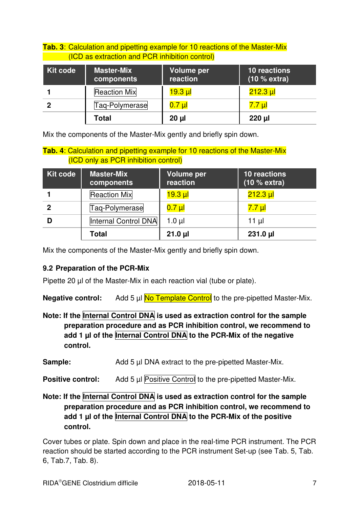|                                                | <b>Tab. 3: Calculation and pipetting example for 10 reactions of the Master-Mix</b> |                 |                       |  |  |
|------------------------------------------------|-------------------------------------------------------------------------------------|-----------------|-----------------------|--|--|
| (ICD as extraction and PCR inhibition control) |                                                                                     |                 |                       |  |  |
| Kit code                                       | <b>Master-Mix</b>                                                                   | Volume per<br>. | 10 reactions<br>(400) |  |  |

| <b>INIL COOP</b> | <b>Master-MIX</b><br>components | volume per<br>reaction | TU reactions<br>(10 % extra) |
|------------------|---------------------------------|------------------------|------------------------------|
|                  | <b>Reaction Mix</b>             | $19.3$ µl              | $212.3 \mu$                  |
| 2                | Taq-Polymerase                  | $0.7$ µl               | 7.7 µl                       |
|                  | Total                           | $20 \mu$               | $220$ $\mu$                  |

Mix the components of the Master-Mix gently and briefly spin down.

#### **Tab. 4**: Calculation and pipetting example for 10 reactions of the Master-Mix (ICD only as PCR inhibition control)

| Kit code    | <b>Master-Mix</b><br>components | <b>Volume per</b><br>reaction | <b>10 reactions</b><br>(10 % extra) |
|-------------|---------------------------------|-------------------------------|-------------------------------------|
|             | <b>Reaction Mix</b>             | <u>19.3 µl</u>                | $212.3 \mu$                         |
| $\mathbf 2$ | Taq-Polymerase                  | $0.7$ $\mu$                   | 7.7 µl                              |
|             | Internal Control DNA            | $1.0 \mu$                     | $11 \mu$                            |
|             | <b>Total</b>                    | $21.0 \mu$                    | $231.0 \mu$                         |

Mix the components of the Master-Mix gently and briefly spin down.

#### **9.2 Preparation of the PCR-Mix**

Pipette 20 µl of the Master-Mix in each reaction vial (tube or plate).

**Negative control:** Add 5 µl **No Template Control** to the pre-pipetted Master-Mix.

Note: If the **Internal Control DNA** is used as extraction control for the sample **preparation procedure and as PCR inhibition control, we recommend to add 1 µl of the Internal Control DNA to the PCR-Mix of the negative control.** 

**Sample:** Add 5 µl DNA extract to the pre-pipetted Master-Mix.

**Positive control:** Add 5 µl Positive Control to the pre-pipetted Master-Mix.

Note: If the Internal Control DNA is used as extraction control for the sample **preparation procedure and as PCR inhibition control, we recommend to add 1 µl of the Internal Control DNA to the PCR-Mix of the positive control.**

Cover tubes or plate. Spin down and place in the real-time PCR instrument. The PCR reaction should be started according to the PCR instrument Set-up (see Tab. 5, Tab. 6, Tab.7, Tab. 8).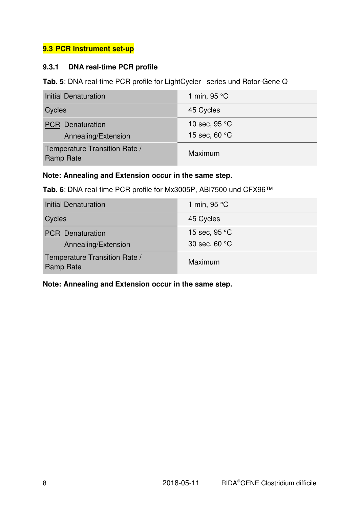# **9.3 PCR instrument set-up**

#### **9.3.1 DNA real-time PCR profile**

Tab. 5: DNA real-time PCR profile for LightCycler<sup>®</sup> series und Rotor-Gene Q

| <b>Initial Denaturation</b>                       | 1 min, 95 °C           |
|---------------------------------------------------|------------------------|
| Cycles                                            | 45 Cycles              |
| <b>PCR</b> Denaturation                           | 10 sec, $95^{\circ}$ C |
| Annealing/Extension                               | 15 sec, 60 °C          |
| Temperature Transition Rate /<br><b>Ramp Rate</b> | Maximum                |

#### **Note: Annealing and Extension occur in the same step.**

#### **Tab. 6**: DNA real-time PCR profile for Mx3005P, ABI7500 und CFX96™

| <b>Initial Denaturation</b>                       | 1 min, $95 °C$ |
|---------------------------------------------------|----------------|
| Cycles                                            | 45 Cycles      |
| <b>PCR</b> Denaturation                           | 15 sec, 95 °C  |
| Annealing/Extension                               | 30 sec, 60 °C  |
| Temperature Transition Rate /<br><b>Ramp Rate</b> | Maximum        |

**Note: Annealing and Extension occur in the same step.**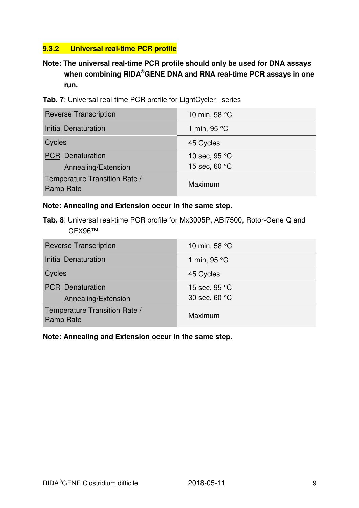# **9.3.2 Universal real-time PCR profile**

# **Note: The universal real-time PCR profile should only be used for DNA assays when combining RIDA®GENE DNA and RNA real-time PCR assays in one run.**

|  |  |  |  |  |  | Tab. 7: Universal real-time PCR profile for LightCycler $^{\circledast}$ series |  |
|--|--|--|--|--|--|---------------------------------------------------------------------------------|--|
|--|--|--|--|--|--|---------------------------------------------------------------------------------|--|

| <b>Reverse Transcription</b>                      | 10 min, 58 °C          |
|---------------------------------------------------|------------------------|
| <b>Initial Denaturation</b>                       | 1 min, 95 °C           |
| Cycles                                            | 45 Cycles              |
| <b>PCR</b> Denaturation                           | 10 sec, $95^{\circ}$ C |
| Annealing/Extension                               | 15 sec, 60 °C          |
| Temperature Transition Rate /<br><b>Ramp Rate</b> | Maximum                |

#### **Note: Annealing and Extension occur in the same step.**

**Tab. 8**: Universal real-time PCR profile for Mx3005P, ABI7500, Rotor-Gene Q and CFX96™

| <b>Reverse Transcription</b>                      | 10 min, 58 °C |
|---------------------------------------------------|---------------|
| <b>Initial Denaturation</b>                       | 1 min, 95 °C  |
| Cycles                                            | 45 Cycles     |
| <b>PCR</b> Denaturation                           | 15 sec, 95 °C |
| Annealing/Extension                               | 30 sec, 60 °C |
| Temperature Transition Rate /<br><b>Ramp Rate</b> | Maximum       |

#### **Note: Annealing and Extension occur in the same step.**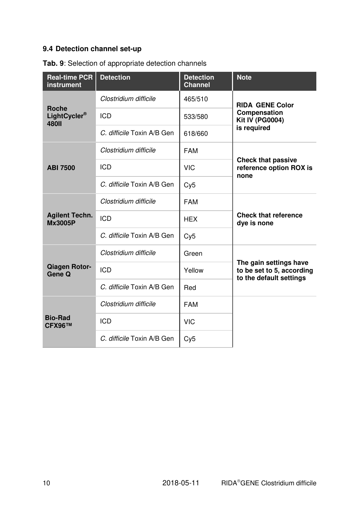# **9.4 Detection channel set-up**

| <b>Real-time PCR</b><br>instrument           | <b>Detection</b>           | <b>Detection</b><br><b>Channel</b> | <b>Note</b>                                                                    |  |
|----------------------------------------------|----------------------------|------------------------------------|--------------------------------------------------------------------------------|--|
| <b>Roche</b><br>LightCycler®<br><b>480II</b> | Clostridium difficile      | 465/510                            | <b>RIDA®GENE Color</b>                                                         |  |
|                                              | <b>ICD</b>                 | 533/580                            | Compensation<br><b>Kit IV (PG0004)</b>                                         |  |
|                                              | C. difficile Toxin A/B Gen | 618/660                            | is required                                                                    |  |
|                                              | Clostridium difficile      | <b>FAM</b>                         |                                                                                |  |
| <b>ABI 7500</b>                              | <b>ICD</b>                 | <b>VIC</b>                         | <b>Check that passive</b><br>reference option ROX is<br>none                   |  |
|                                              | C. difficile Toxin A/B Gen | Cy5                                |                                                                                |  |
| <b>Agilent Techn.</b><br><b>Mx3005P</b>      | Clostridium difficile      | <b>FAM</b>                         | <b>Check that reference</b><br>dye is none                                     |  |
|                                              | <b>ICD</b>                 | <b>HEX</b>                         |                                                                                |  |
|                                              | C. difficile Toxin A/B Gen | Cy5                                |                                                                                |  |
|                                              | Clostridium difficile      | Green                              |                                                                                |  |
| <b>Qiagen Rotor-</b><br>Gene Q               | <b>ICD</b>                 | Yellow                             | The gain settings have<br>to be set to 5, according<br>to the default settings |  |
|                                              | C. difficile Toxin A/B Gen | Red                                |                                                                                |  |
| <b>Bio-Rad</b><br><b>CFX96™</b>              | Clostridium difficile      | <b>FAM</b>                         |                                                                                |  |
|                                              | <b>ICD</b>                 | <b>VIC</b>                         |                                                                                |  |
|                                              | C. difficile Toxin A/B Gen | Cy5                                |                                                                                |  |

**Tab. 9**: Selection of appropriate detection channels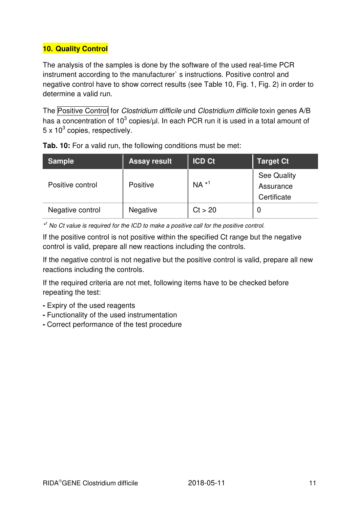# **10. Quality Control**

The analysis of the samples is done by the software of the used real-time PCR instrument according to the manufacturer` s instructions. Positive control and negative control have to show correct results (see Table 10, Fig. 1, Fig. 2) in order to determine a valid run.

The Positive Control for Clostridium difficile und Clostridium difficile toxin genes A/B has a concentration of 10<sup>3</sup> copies/ $\mu$ l. In each PCR run it is used in a total amount of 5 x 10<sup>3</sup> copies, respectively.

| <b>Sample</b>    | <b>Assay result</b> | <b>ICD Ct</b> | <b>Target Ct</b>                        |
|------------------|---------------------|---------------|-----------------------------------------|
| Positive control | <b>Positive</b>     | $NA *1$       | See Quality<br>Assurance<br>Certificate |
| Negative control | <b>Negative</b>     | Ct > 20       |                                         |

**Tab. 10:** For a valid run, the following conditions must be met:

\*<sup>1</sup> No Ct value is required for the ICD to make a positive call for the positive control.

If the positive control is not positive within the specified Ct range but the negative control is valid, prepare all new reactions including the controls.

If the negative control is not negative but the positive control is valid, prepare all new reactions including the controls.

If the required criteria are not met, following items have to be checked before repeating the test:

- Expiry of the used reagents
- Functionality of the used instrumentation
- Correct performance of the test procedure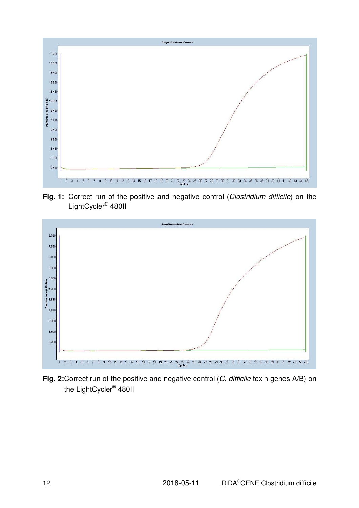

Fig. 1: Correct run of the positive and negative control (Clostridium difficile) on the LightCycler<sup>®</sup> 480II



Fig. 2: Correct run of the positive and negative control (C. difficile toxin genes A/B) on the LightCycler<sup>®</sup> 480II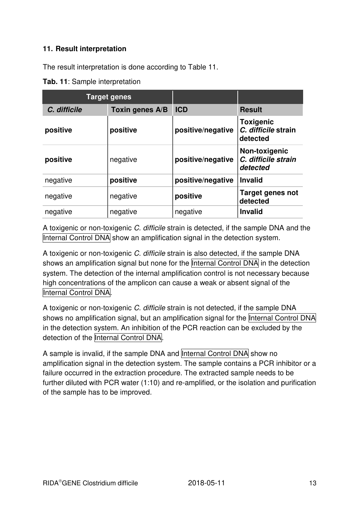#### **11. Result interpretation**

The result interpretation is done according to Table 11.

**Tab. 11**: Sample interpretation

| <b>Target genes</b> |                 |                   |                                                     |
|---------------------|-----------------|-------------------|-----------------------------------------------------|
| C. difficile        | Toxin genes A/B | <b>ICD</b>        | <b>Result</b>                                       |
| positive            | positive        | positive/negative | <b>Toxigenic</b><br>C. difficile strain<br>detected |
| positive            | negative        | positive/negative | Non-toxigenic<br>C. difficile strain<br>detected    |
| negative            | positive        | positive/negative | <b>Invalid</b>                                      |
| negative            | negative        | positive          | <b>Target genes not</b><br>detected                 |
| negative            | negative        | negative          | <b>Invalid</b>                                      |

A toxigenic or non-toxigenic C. difficile strain is detected, if the sample DNA and the Internal Control DNA show an amplification signal in the detection system.

A toxigenic or non-toxigenic C. difficile strain is also detected, if the sample DNA shows an amplification signal but none for the Internal Control DNA in the detection system. The detection of the internal amplification control is not necessary because high concentrations of the amplicon can cause a weak or absent signal of the Internal Control DNA.

A toxigenic or non-toxigenic C, difficile strain is not detected, if the sample DNA shows no amplification signal, but an amplification signal for the Internal Control DNA in the detection system. An inhibition of the PCR reaction can be excluded by the detection of the Internal Control DNA.

A sample is invalid, if the sample DNA and Internal Control DNA show no amplification signal in the detection system. The sample contains a PCR inhibitor or a failure occurred in the extraction procedure. The extracted sample needs to be further diluted with PCR water (1:10) and re-amplified, or the isolation and purification of the sample has to be improved.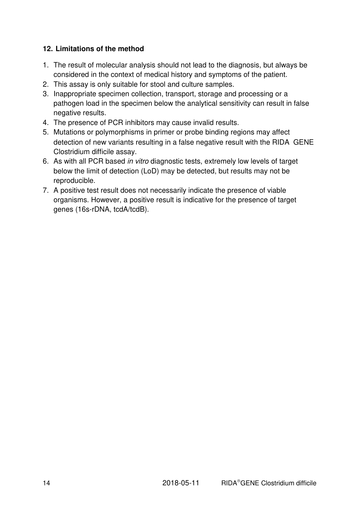#### **12. Limitations of the method**

- 1. The result of molecular analysis should not lead to the diagnosis, but always be considered in the context of medical history and symptoms of the patient.
- 2. This assay is only suitable for stool and culture samples.
- 3. Inappropriate specimen collection, transport, storage and processing or a pathogen load in the specimen below the analytical sensitivity can result in false negative results.
- 4. The presence of PCR inhibitors may cause invalid results.
- 5. Mutations or polymorphisms in primer or probe binding regions may affect detection of new variants resulting in a false negative result with the  $RIDA^{\circledast}GENE$ Clostridium difficile assay.
- 6. As with all PCR based in vitro diagnostic tests, extremely low levels of target below the limit of detection (LoD) may be detected, but results may not be reproducible.
- 7. A positive test result does not necessarily indicate the presence of viable organisms. However, a positive result is indicative for the presence of target genes (16s-rDNA, tcdA/tcdB).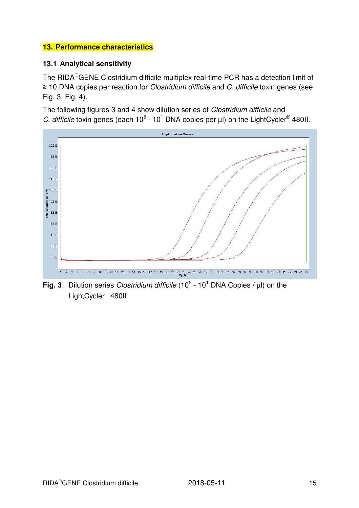#### **13. Performance characteristics**

#### **13.1 Analytical sensitivity**

The RIDA<sup>®</sup>GENE Clostridium difficile multiplex real-time PCR has a detection limit of ≥ 10 DNA copies per reaction for Clostridium difficile and C. difficile toxin genes (see Fig. 3, Fig. 4).

The following figures 3 and 4 show dilution series of *Clostridium difficile* and C. difficile toxin genes (each  $10^5$  - 10<sup>1</sup> DNA copies per  $\mu$ I) on the LightCycler<sup>®</sup> 480II.



**Fig. 3**: Dilution series *Clostridium difficile* (10<sup>5</sup> - 10<sup>1</sup> DNA Copies /  $\mu$ I) on the LightCycler<sup>®</sup> 480II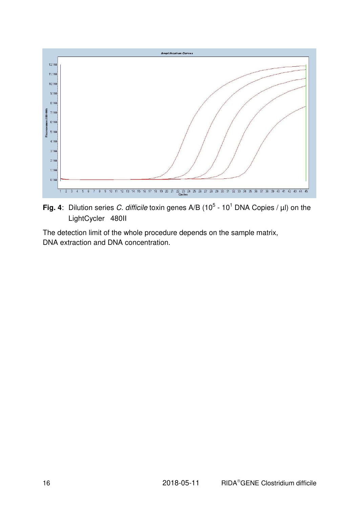

**Fig. 4**: Dilution series C. difficile toxin genes A/B (10<sup>5</sup> - 10<sup>1</sup> DNA Copies /  $\mu$ I) on the LightCycler<sup>®</sup> 480II

The detection limit of the whole procedure depends on the sample matrix, DNA extraction and DNA concentration.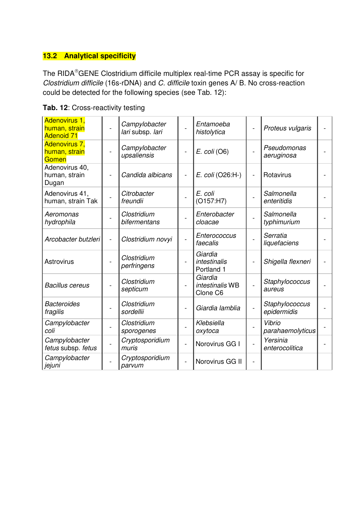# **13.2 Analytical specificity**

The RIDA®GENE Clostridium difficile multiplex real-time PCR assay is specific for Clostridium difficile (16s-rDNA) and C. difficile toxin genes A/ B. No cross-reaction could be detected for the following species (see Tab. 12):

| Adenovirus 1,<br>human, strain<br><b>Adenoid 71</b> |                          | Campylobacter<br>lari subsp. lari |                | Entamoeba<br>histolytica               |                 | Proteus vulgaris              |  |
|-----------------------------------------------------|--------------------------|-----------------------------------|----------------|----------------------------------------|-----------------|-------------------------------|--|
| Adenovirus 7,<br>human, strain<br>Gomen             |                          | Campylobacter<br>upsaliensis      |                | $E.$ coli (O6)                         |                 | Pseudomonas<br>aeruginosa     |  |
| Adenovirus 40,<br>human, strain<br>Dugan            |                          | Candida albicans                  | $\overline{a}$ | E. coli (O26:H-)                       | $\overline{a}$  | Rotavirus                     |  |
| Adenovirus 41,<br>human, strain Tak                 |                          | Citrobacter<br>freundii           |                | E. coli<br>(O157:H7)                   |                 | Salmonella<br>enteritidis     |  |
| Aeromonas<br>hydrophila                             |                          | Clostridium<br>bifermentans       |                | Enterobacter<br>cloacae                |                 | Salmonella<br>typhimurium     |  |
| Arcobacter butzleri                                 | $\overline{\phantom{0}}$ | Clostridium novyi                 | $\overline{a}$ | Enterococcus<br>faecalis               |                 | Serratia<br>liquefaciens      |  |
| Astrovirus                                          |                          | Clostridium<br>perfringens        |                | Giardia<br>intestinalis<br>Portland 1  |                 | Shigella flexneri             |  |
| <b>Bacillus cereus</b>                              |                          | Clostridium<br>septicum           |                | Giardia<br>intestinalis WB<br>Clone C6 |                 | Staphylococcus<br>aureus      |  |
| <b>Bacteroides</b><br>fragilis                      |                          | Clostridium<br>sordellii          |                | Giardia lamblia                        | $\qquad \qquad$ | Staphylococcus<br>epidermidis |  |
| Campylobacter<br>coli                               |                          | Clostridium<br>sporogenes         |                | Klebsiella<br>oxytoca                  |                 | Vibrio<br>parahaemolyticus    |  |
| Campylobacter<br>fetus subsp. fetus                 |                          | Cryptosporidium<br>muris          | $\overline{a}$ | Norovirus GG I                         |                 | Yersinia<br>enterocolitica    |  |
| Campylobacter<br>jejuni                             |                          | Cryptosporidium<br>parvum         |                | Norovirus GG II                        | $\overline{a}$  |                               |  |

**Tab. 12**: Cross-reactivity testing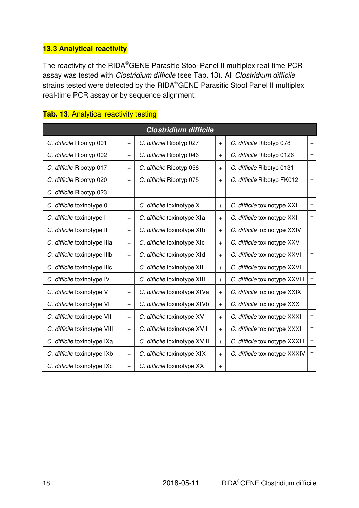# **13.3 Analytical reactivity**

The reactivity of the RIDA®GENE Parasitic Stool Panel II multiplex real-time PCR assay was tested with Clostridium difficile (see Tab. 13). All Clostridium difficile strains tested were detected by the RIDA®GENE Parasitic Stool Panel II multiplex real-time PCR assay or by sequence alignment.

| <b>Clostridium difficile</b> |           |                               |           |                                |           |
|------------------------------|-----------|-------------------------------|-----------|--------------------------------|-----------|
| C. difficile Ribotyp 001     | $+$       | C. difficile Ribotyp 027      | $+$       | C. difficile Ribotyp 078       | $\ddot{}$ |
| C. difficile Ribotyp 002     | $\ddot{}$ | C. difficile Ribotyp 046      | $\ddot{}$ | C. difficile Ribotyp 0126      | $\ddot{}$ |
| C. difficile Ribotyp 017     | $+$       | C. difficile Ribotyp 056      | $+$       | C. difficile Ribotyp 0131      | $+$       |
| C. difficile Ribotyp 020     | $+$       | C. difficile Ribotyp 075      | $+$       | C. difficile Ribotyp FK012     | $+$       |
| C. difficile Ribotyp 023     | $\ddot{}$ |                               |           |                                |           |
| C. difficile toxinotype 0    | $\ddot{}$ | C. difficile toxinotype X     | $+$       | C. difficile toxinotype XXI    | $\ddot{}$ |
| C. difficile toxinotype I    | $\ddot{}$ | C. difficile toxinotype XIa   | $\ddot{}$ | C. difficile toxinotype XXII   | $\ddot{}$ |
| C. difficile toxinotype II   | $+$       | C. difficile toxinotype XIb   | $+$       | C. difficile toxinotype XXIV   | $\ddot{}$ |
| C. difficile toxinotype IIIa | $+$       | C. difficile toxinotype XIc   | $+$       | C. difficile toxinotype XXV    | $\ddot{}$ |
| C. difficile toxinotype IIIb | $+$       | C. difficile toxinotype XId   | $+$       | C. difficile toxinotype XXVI   | $\ddot{}$ |
| C. difficile toxinotype IIIc | $\ddot{}$ | C. difficile toxinotype XII   | $+$       | C. difficile toxinotype XXVII  | $\ddot{}$ |
| C. difficile toxinotype IV   | $\ddot{}$ | C. difficile toxinotype XIII  | $+$       | C. difficile toxinotype XXVIII | $\ddot{}$ |
| C. difficile toxinotype V    | $\ddot{}$ | C. difficile toxinotype XIVa  | $\ddot{}$ | C. difficile toxinotype XXIX   | $+$       |
| C. difficile toxinotype VI   | $+$       | C. difficile toxinotype XIVb  | $+$       | C. difficile toxinotype XXX    | $\ddot{}$ |
| C. difficile toxinotype VII  | $+$       | C. difficile toxinotype XVI   | $+$       | C. difficile toxinotype XXXI   | $\ddot{}$ |
| C. difficile toxinotype VIII | $\ddot{}$ | C. difficile toxinotype XVII  | $+$       | C. difficile toxinotype XXXII  | $\ddot{}$ |
| C. difficile toxinotype IXa  | $\ddot{}$ | C. difficile toxinotype XVIII | $+$       | C. difficile toxinotype XXXIII | $+$       |
| C. difficile toxinotype IXb  | $\ddot{}$ | C. difficile toxinotype XIX   | $\ddot{}$ | C. difficile toxinotype XXXIV  | $\ddot{}$ |
| C. difficile toxinotype IXc  | $\ddot{}$ | C. difficile toxinotype XX    | $\ddot{}$ |                                |           |

#### **Tab. 13**: Analytical reactivity testing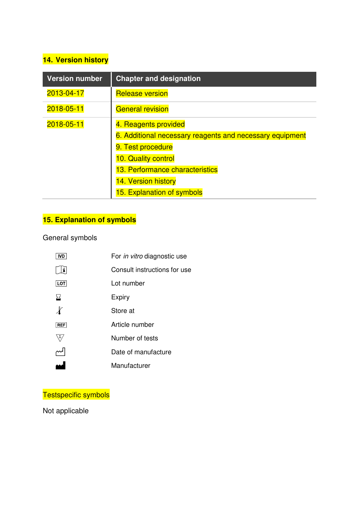# **14. Version history**

| <b>Version number</b> | <b>Chapter and designation</b>                           |  |
|-----------------------|----------------------------------------------------------|--|
| 2013-04-17            | <b>Release version</b>                                   |  |
| 2018-05-11            | <b>General revision</b>                                  |  |
| 2018-05-11            | 4. Reagents provided                                     |  |
|                       | 6. Additional necessary reagents and necessary equipment |  |
|                       | 9. Test procedure                                        |  |
|                       | 10. Quality control                                      |  |
|                       | 13. Performance characteristics                          |  |
|                       | 14. Version history                                      |  |
|                       | 15. Explanation of symbols                               |  |

# **15. Explanation of symbols**

# General symbols

| IVD          | For in vitro diagnostic use  |
|--------------|------------------------------|
| $\mathbf{i}$ | Consult instructions for use |
| LOT          | Lot number                   |
| ⊠            | Expiry                       |
|              | Store at                     |
| REF          | Article number               |
| Σ.           | Number of tests              |
|              | Date of manufacture          |
|              | Manufacturer                 |
|              |                              |

# Testspecific symbols

Not applicable